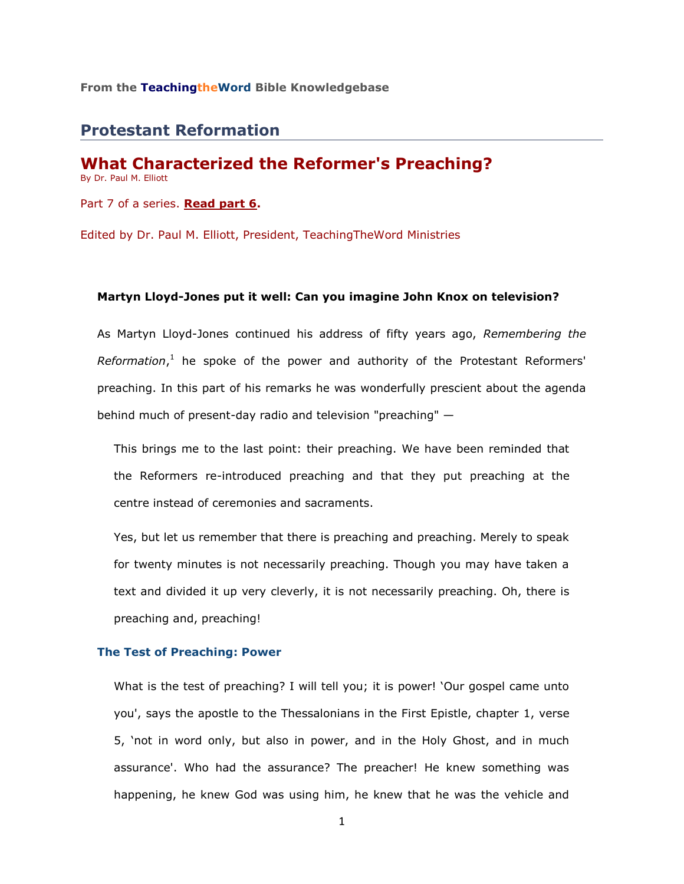# **From the TeachingtheWord Bible Knowledgebase**\_\_\_\_\_\_\_\_\_\_\_\_\_\_\_\_\_\_\_\_\_\_\_\_

# **Protestant Reformation**

**What Characterized the Reformer's Preaching?** By Dr. Paul M. Elliott Part 7 of a series. **[Read part 6.](http://www.teachingtheword.org/apps/articles/web/articleid/59699/columnid/5787/default.asp)**

Edited by Dr. Paul M. Elliott, President, TeachingTheWord Ministries

# **Martyn Lloyd-Jones put it well: Can you imagine John Knox on television?**

As Martyn Lloyd-Jones continued his address of fifty years ago, *Remembering the Reformation*, <sup>1</sup> he spoke of the power and authority of the Protestant Reformers' preaching. In this part of his remarks he was wonderfully prescient about the agenda behind much of present-day radio and television "preaching" —

This brings me to the last point: their preaching. We have been reminded that the Reformers re-introduced preaching and that they put preaching at the centre instead of ceremonies and sacraments.

Yes, but let us remember that there is preaching and preaching. Merely to speak for twenty minutes is not necessarily preaching. Though you may have taken a text and divided it up very cleverly, it is not necessarily preaching. Oh, there is preaching and, preaching!

## **The Test of Preaching: Power**

What is the test of preaching? I will tell you; it is power! 'Our gospel came unto you', says the apostle to the Thessalonians in the First Epistle, chapter 1, verse 5, 'not in word only, but also in power, and in the Holy Ghost, and in much assurance'. Who had the assurance? The preacher! He knew something was happening, he knew God was using him, he knew that he was the vehicle and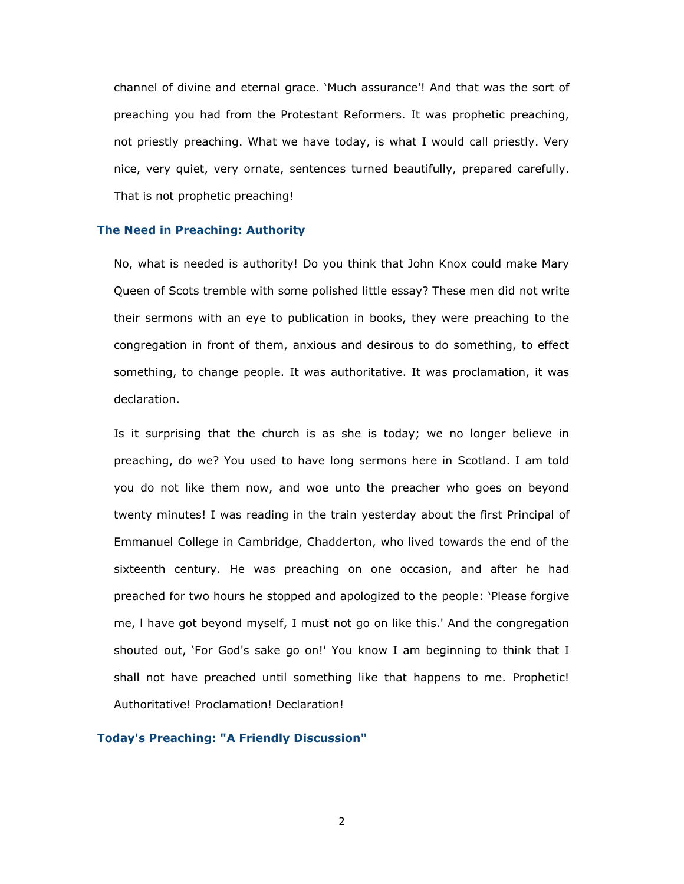channel of divine and eternal grace. 'Much assurance'! And that was the sort of preaching you had from the Protestant Reformers. It was prophetic preaching, not priestly preaching. What we have today, is what I would call priestly. Very nice, very quiet, very ornate, sentences turned beautifully, prepared carefully. That is not prophetic preaching!

#### **The Need in Preaching: Authority**

No, what is needed is authority! Do you think that John Knox could make Mary Queen of Scots tremble with some polished little essay? These men did not write their sermons with an eye to publication in books, they were preaching to the congregation in front of them, anxious and desirous to do something, to effect something, to change people. It was authoritative. It was proclamation, it was declaration.

Is it surprising that the church is as she is today; we no longer believe in preaching, do we? You used to have long sermons here in Scotland. I am told you do not like them now, and woe unto the preacher who goes on beyond twenty minutes! I was reading in the train yesterday about the first Principal of Emmanuel College in Cambridge, Chadderton, who lived towards the end of the sixteenth century. He was preaching on one occasion, and after he had preached for two hours he stopped and apologized to the people: 'Please forgive me, l have got beyond myself, I must not go on like this.' And the congregation shouted out, 'For God's sake go on!' You know I am beginning to think that I shall not have preached until something like that happens to me. Prophetic! Authoritative! Proclamation! Declaration!

**Today's Preaching: "A Friendly Discussion"**

2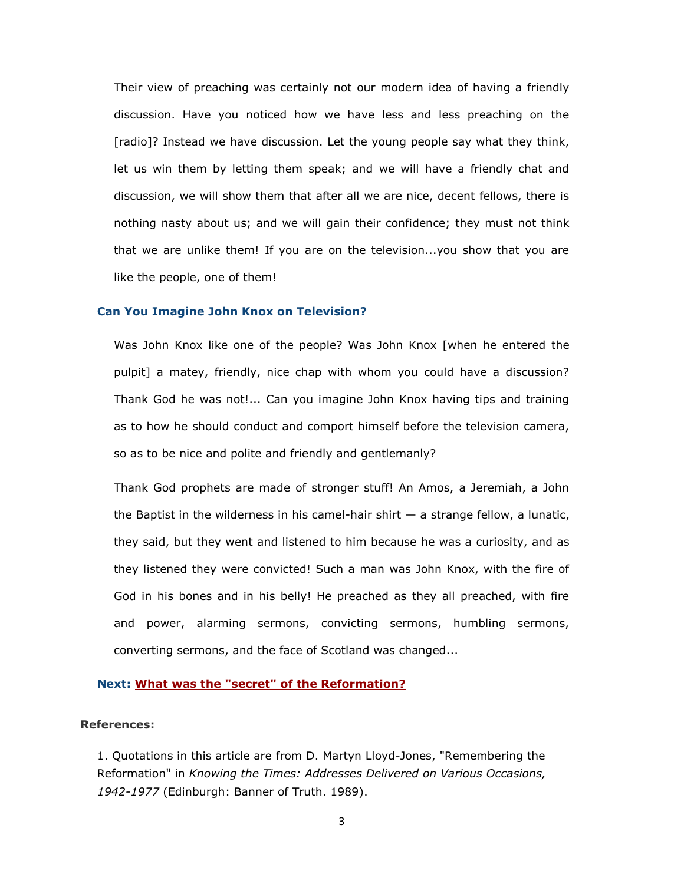Their view of preaching was certainly not our modern idea of having a friendly discussion. Have you noticed how we have less and less preaching on the [radio]? Instead we have discussion. Let the young people say what they think, let us win them by letting them speak; and we will have a friendly chat and discussion, we will show them that after all we are nice, decent fellows, there is nothing nasty about us; and we will gain their confidence; they must not think that we are unlike them! If you are on the television...you show that you are like the people, one of them!

### **Can You Imagine John Knox on Television?**

Was John Knox like one of the people? Was John Knox [when he entered the pulpit] a matey, friendly, nice chap with whom you could have a discussion? Thank God he was not!... Can you imagine John Knox having tips and training as to how he should conduct and comport himself before the television camera, so as to be nice and polite and friendly and gentlemanly?

Thank God prophets are made of stronger stuff! An Amos, a Jeremiah, a John the Baptist in the wilderness in his camel-hair shirt  $-$  a strange fellow, a lunatic, they said, but they went and listened to him because he was a curiosity, and as they listened they were convicted! Such a man was John Knox, with the fire of God in his bones and in his belly! He preached as they all preached, with fire and power, alarming sermons, convicting sermons, humbling sermons, converting sermons, and the face of Scotland was changed...

# **Next: [What was the "secret" of the Reformation?](http://www.teachingtheword.org/apps/articles/web/articleid/59702/columnid/5787/default.asp)**

## **References:**

1. Quotations in this article are from D. Martyn Lloyd-Jones, "Remembering the Reformation" in *Knowing the Times: Addresses Delivered on Various Occasions, 1942-1977* (Edinburgh: Banner of Truth. 1989).

3